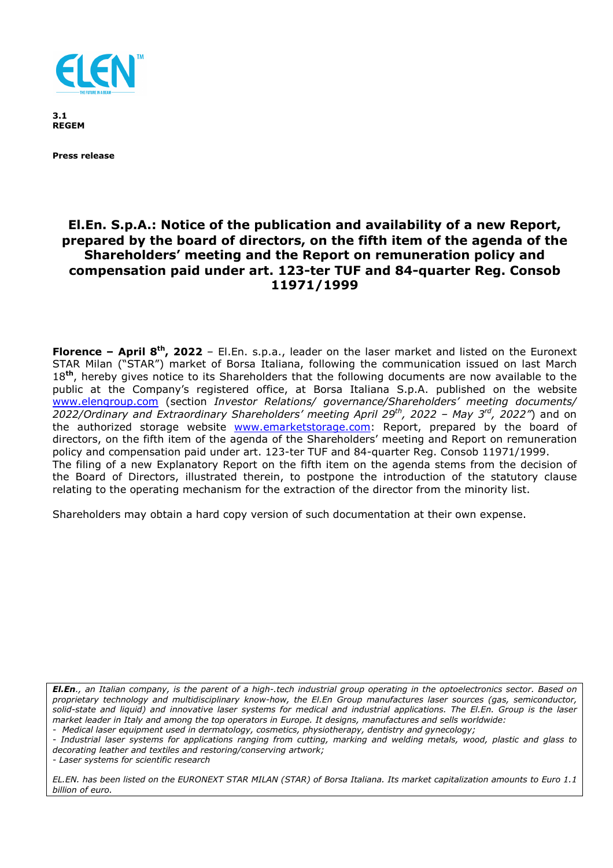

**3.1 REGEM** 

**Press release** 

# **El.En. S.p.A.: Notice of the publication and availability of a new Report, prepared by the board of directors, on the fifth item of the agenda of the Shareholders' meeting and the Report on remuneration policy and compensation paid under art. 123-ter TUF and 84-quarter Reg. Consob 11971/1999**

**Florence – April 8th, 2022** – El.En. s.p.a., leader on the laser market and listed on the Euronext STAR Milan ("STAR") market of Borsa Italiana, following the communication issued on last March 18**th**, hereby gives notice to its Shareholders that the following documents are now available to the public at the Company's registered office, at Borsa Italiana S.p.A. published on the website www.elengroup.com (section *Investor Relations/ governance/Shareholders' meeting documents/ 2022/Ordinary and Extraordinary Shareholders' meeting April 29th, 2022 – May 3rd, 2022"*) and on the authorized storage website www.emarketstorage.com: Report, prepared by the board of directors, on the fifth item of the agenda of the Shareholders' meeting and Report on remuneration policy and compensation paid under art. 123-ter TUF and 84-quarter Reg. Consob 11971/1999. The filing of a new Explanatory Report on the fifth item on the agenda stems from the decision of the Board of Directors, illustrated therein, to postpone the introduction of the statutory clause relating to the operating mechanism for the extraction of the director from the minority list.

Shareholders may obtain a hard copy version of such documentation at their own expense.

*El.En., an Italian company, is the parent of a high-.tech industrial group operating in the optoelectronics sector. Based on proprietary technology and multidisciplinary know-how, the El.En Group manufactures laser sources (gas, semiconductor, solid-state and liquid) and innovative laser systems for medical and industrial applications. The El.En. Group is the laser market leader in Italy and among the top operators in Europe. It designs, manufactures and sells worldwide:* 

*- Medical laser equipment used in dermatology, cosmetics, physiotherapy, dentistry and gynecology;* 

*- Industrial laser systems for applications ranging from cutting, marking and welding metals, wood, plastic and glass to decorating leather and textiles and restoring/conserving artwork;* 

*- Laser systems for scientific research* 

*EL.EN. has been listed on the EURONEXT STAR MILAN (STAR) of Borsa Italiana. Its market capitalization amounts to Euro 1.1 billion of euro.*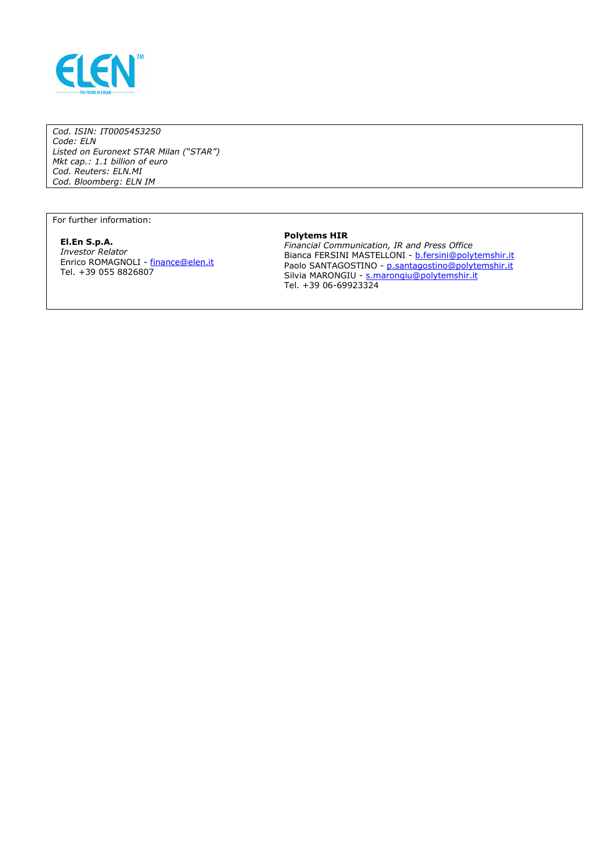

*Cod. ISIN: IT0005453250 Code: ELN Listed on Euronext STAR Milan ("STAR") Mkt cap.: 1.1 billion of euro Cod. Reuters: ELN.MI Cod. Bloomberg: ELN IM* 

For further information:

#### **El.En S.p.A.**  *Investor Relator*  Enrico ROMAGNOLI - finance@elen.it Tel. +39 055 8826807

## **Polytems HIR**

*Financial Communication, IR and Press Office*  Bianca FERSINI MASTELLONI - b.fersini@polytemshir.it Paolo SANTAGOSTINO - <u>p.santagostino@polytemshir.it</u> Silvia MARONGIU - s.marongiu@polytemshir.it Tel. +39 06-69923324